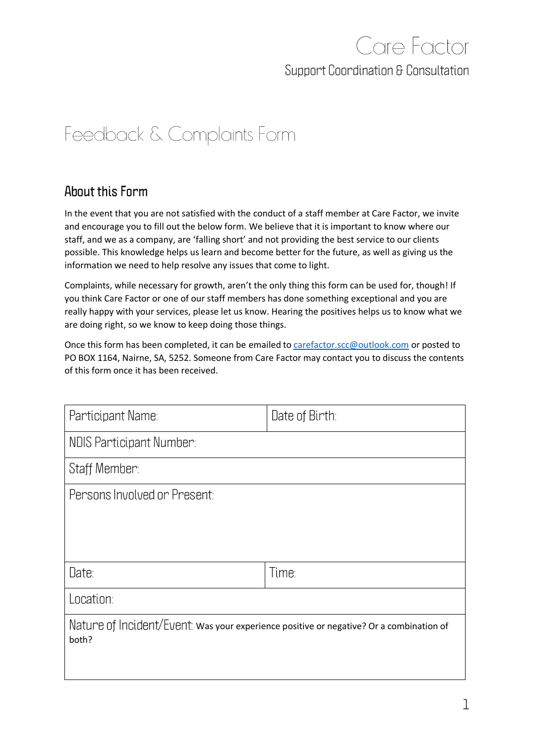## Care Factor **Support Coordination & Consultation**

## Feedback & Complaints Form

## **About this Form**

In the event that you are not satisfied with the conduct of a staff member at Care Factor, we invite and encourage you to fill out the below form. We believe that it is important to know where our staff, and we as a company, are 'falling short' and not providing the best service to our clients possible. This knowledge helps us learn and become better for the future, as well as giving us the information we need to help resolve any issues that come to light.

Complaints, while necessary for growth, aren't the only thing this form can be used for, though! If you think Care Factor or one of our staff members has done something exceptional and you are really happy with your services, please let us know. Hearing the positives helps us to know what we are doing right, so we know to keep doing those things.

Once this form has been completed, it can be emailed t[o carefactor.scc@outlook.com](mailto:carefactor.scc@outlook.com) or posted to PO BOX 1164, Nairne, SA, 5252. Someone from Care Factor may contact you to discuss the contents of this form once it has been received.

| Participant Name:                                                                                | Date of Birth: |  |
|--------------------------------------------------------------------------------------------------|----------------|--|
| NDIS Participant Number:                                                                         |                |  |
| Staff Member:                                                                                    |                |  |
| Persons Involved or Present:                                                                     |                |  |
|                                                                                                  |                |  |
|                                                                                                  |                |  |
| Date:                                                                                            | Time:          |  |
| Location:                                                                                        |                |  |
| Nature of Incident/Event: was your experience positive or negative? Or a combination of<br>both? |                |  |